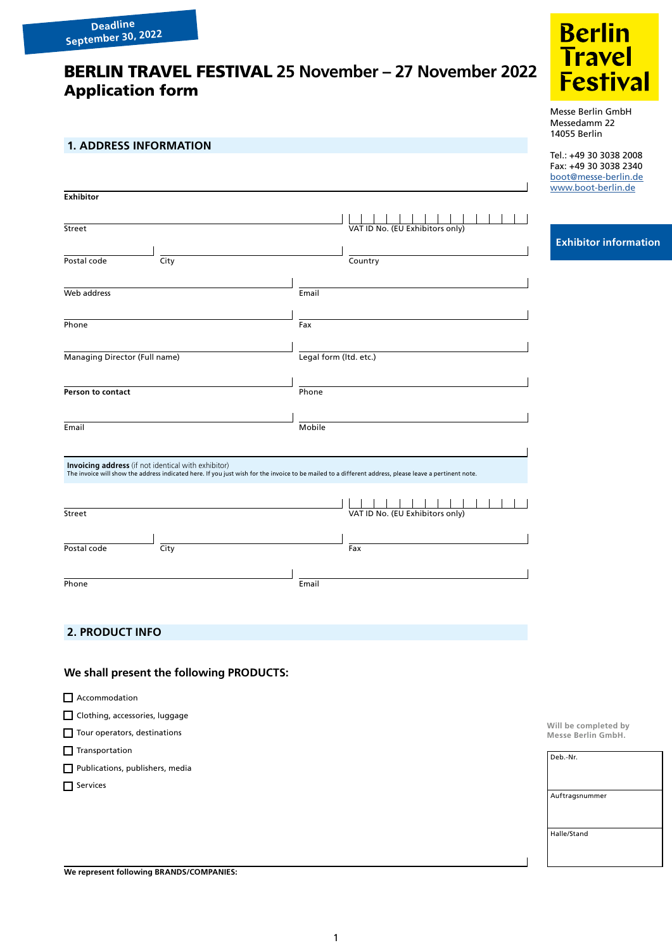# BERLIN TRAVEL FESTIVAL **25 November – 27 November 2022** Application form

## **1. ADDRESS INFORMATION**

| <b>Exhibitor</b>                                    |                                                                                                                                                        |
|-----------------------------------------------------|--------------------------------------------------------------------------------------------------------------------------------------------------------|
|                                                     |                                                                                                                                                        |
| Street                                              | VAT ID No. (EU Exhibitors only)                                                                                                                        |
|                                                     |                                                                                                                                                        |
| City<br>Postal code                                 | Country                                                                                                                                                |
|                                                     |                                                                                                                                                        |
| Web address                                         | Email                                                                                                                                                  |
|                                                     |                                                                                                                                                        |
| Phone                                               | Fax                                                                                                                                                    |
|                                                     |                                                                                                                                                        |
| Managing Director (Full name)                       | Legal form (Itd. etc.)                                                                                                                                 |
|                                                     |                                                                                                                                                        |
| Person to contact                                   | Phone                                                                                                                                                  |
|                                                     |                                                                                                                                                        |
| Email                                               | Mobile                                                                                                                                                 |
|                                                     |                                                                                                                                                        |
| Invoicing address (if not identical with exhibitor) | The invoice will show the address indicated here. If you just wish for the invoice to be mailed to a different address, please leave a pertinent note. |
|                                                     |                                                                                                                                                        |
|                                                     |                                                                                                                                                        |
| Street                                              | VAT ID No. (EU Exhibitors only)                                                                                                                        |
|                                                     |                                                                                                                                                        |
| Postal code<br>City                                 | Fax                                                                                                                                                    |
|                                                     |                                                                                                                                                        |
| Phone                                               |                                                                                                                                                        |



Messe Berlin GmbH Messedamm 22 14055 Berlin

Tel.: +49 30 3038 2008 Fax: +49 30 3038 2340 [boot@messe-berlin.de](mailto:boot%40messe-berlin.de?subject=) [www.boot-berlin.de](http://www.boot-berlin.de)

### **Exhibitor information**

**PRODUCT INFORMATION CONSUMING INFORMATION** 

## **We shall present the following PRODUCTS:**

- Accommodation
- Clothing, accessories, luggage
- Tour operators, destinations
- $\Box$  Transportation
- Publications, publishers, media

Services

**Will be completed by Messe Berlin GmbH.**

| Deb.-Nr.       |
|----------------|
|                |
|                |
|                |
| Auftragsnummer |
|                |
|                |
|                |
| Halle/Stand    |
|                |
|                |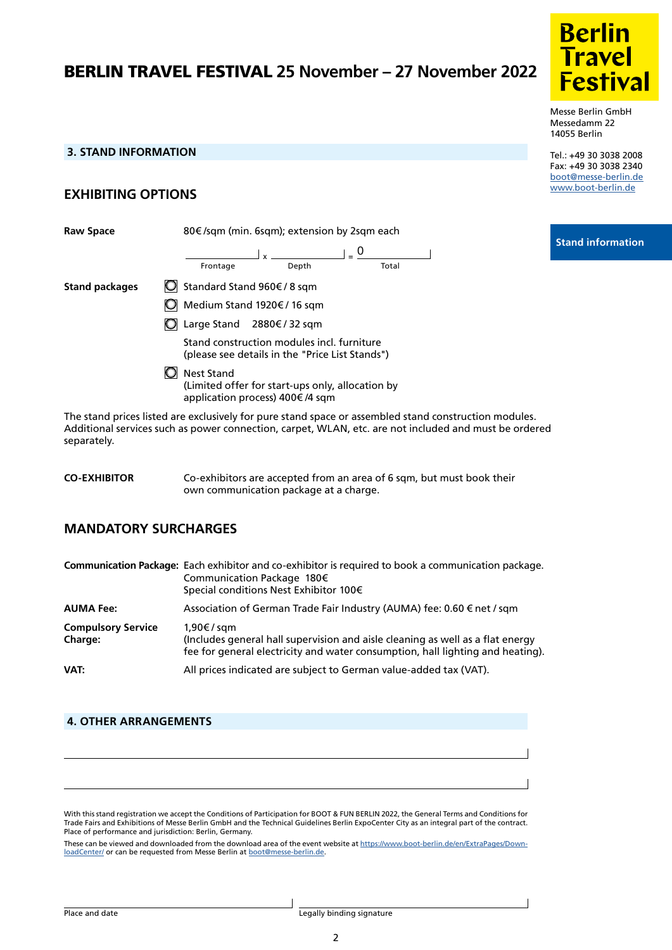# BERLIN TRAVEL FESTIVAL **25 November – 27 November 2022**



Messe Berlin GmbH Messedamm 22 14055 Berlin

Tel.: +49 30 3038 2008 Fax: +49 30 3038 2340 [boot@messe-berlin.de](mailto:boot%40messe-berlin.de?subject=) [www.boot-berlin.de](http://www.boot-berlin.de)

 **Stand information**

# **3. STAND INFORMATION**

# **EXHIBITING OPTIONS**

**Raw Space** 80€ /sqm (min. 6sqm); extension by 2sqm each **Stand packages** □ Standard Stand 960€ / 8 sqm Medium Stand 1920€ / 16 sqm Large Stand 2880€ / 32 sqm Stand construction modules incl. furniture (please see details in the "Price List Stands") **O** Nest Stand (Limited offer for start-ups only, allocation by application process) 400€ /4 sqm  $\frac{1}{x}$   $\frac{1}{x}$  $\frac{1}{2}$ Frontage  $\Box$  =  $\frac{0}{0}$ 

The stand prices listed are exclusively for pure stand space or assembled stand construction modules. Additional services such as power connection, carpet, WLAN, etc. are not included and must be ordered separately.

| <b>CO-EXHIBITOR</b> | Co-exhibitors are accepted from an area of 6 sqm, but must book their |
|---------------------|-----------------------------------------------------------------------|
|                     | own communication package at a charge.                                |

# **MANDATORY SURCHARGES**

|                                             | Communication Package: Each exhibitor and co-exhibitor is required to book a communication package.<br>Communication Package 180€<br>Special conditions Nest Exhibitor 100€   |
|---------------------------------------------|-------------------------------------------------------------------------------------------------------------------------------------------------------------------------------|
| <b>AUMA Fee:</b>                            | Association of German Trade Fair Industry (AUMA) fee: 0.60 € net / sqm                                                                                                        |
| <b>Compulsory Service</b><br><b>Charge:</b> | 1,90€/sqm<br>(Includes general hall supervision and aisle cleaning as well as a flat energy<br>fee for general electricity and water consumption, hall lighting and heating). |
| VAT:                                        | All prices indicated are subject to German value-added tax (VAT).                                                                                                             |

### **4. OTHER ARRANGEMENTS**

With this stand registration we accept the Conditions of Participation for BOOT & FUN BERLIN 2022, the General Terms and Conditions for Trade Fairs and Exhibitions of Messe Berlin GmbH and the Technical Guidelines Berlin ExpoCenter City as an integral part of the contract. Place of performance and jurisdiction: Berlin, Germany.

These can be viewed and downloaded from the download area of the event website at [https://www.boot-berlin.de/en/ExtraPages/Down](https://www.boot-berlin.de/en/ExtraPages/DownloadCenter/)[loadCenter/](https://www.boot-berlin.de/en/ExtraPages/DownloadCenter/) or can be requested from Messe Berlin at [boot@messe-berlin.de](mailto:boot%40messe-berlin.de?subject=).

2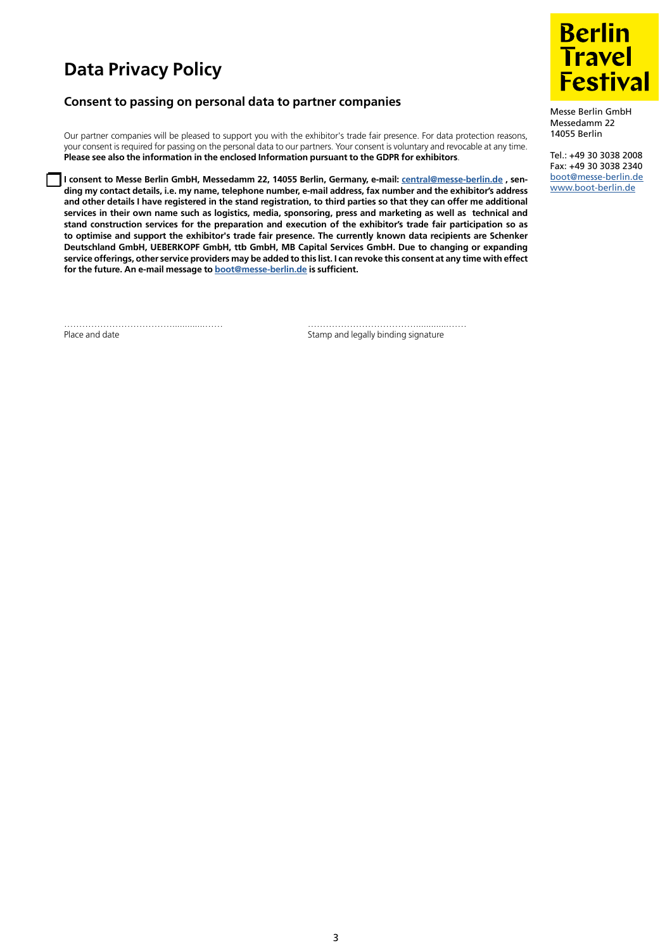# **Data Privacy Policy**

## **Consent to passing on personal data to partner companies**

Our partner companies will be pleased to support you with the exhibitor's trade fair presence. For data protection reasons, your consent is required for passing on the personal data to our partners. Your consent is voluntary and revocable at any time. **Please see also the information in the enclosed Information pursuant to the GDPR for exhibitors**.

**I consent to Messe Berlin GmbH, Messedamm 22, 14055 Berlin, Germany, e-mail: [central@messe-berlin.de](mailto:central%40messe-berlin.de?subject=) , sending my contact details, i.e. my name, telephone number, e-mail address, fax number and the exhibitor's address and other details I have registered in the stand registration, to third parties so that they can offer me additional services in their own name such as logistics, media, sponsoring, press and marketing as well as technical and stand construction services for the preparation and execution of the exhibitor's trade fair participation so as to optimise and support the exhibitor's trade fair presence. The currently known data recipients are Schenker Deutschland GmbH, UEBERKOPF GmbH, ttb GmbH, MB Capital Services GmbH. Due to changing or expanding service offerings, other service providers may be added to this list. I can revoke this consent at any time with effect for the future. An e-mail message to [boot@messe-berlin.de](mailto:boot%40messe-berlin.de?subject=) is sufficient.**

……………………………….............…… ……………………………….............……

Place and date **Stamp and legally binding signature** 



Messe Berlin GmbH Messedamm 22 14055 Berlin

Tel.: +49 30 3038 2008 Fax: +49 30 3038 2340 [boot@messe-berlin.de](mailto:boot%40messe-berlin.de?subject=) [www.boot-berlin.de](http://www.boot-berlin.de)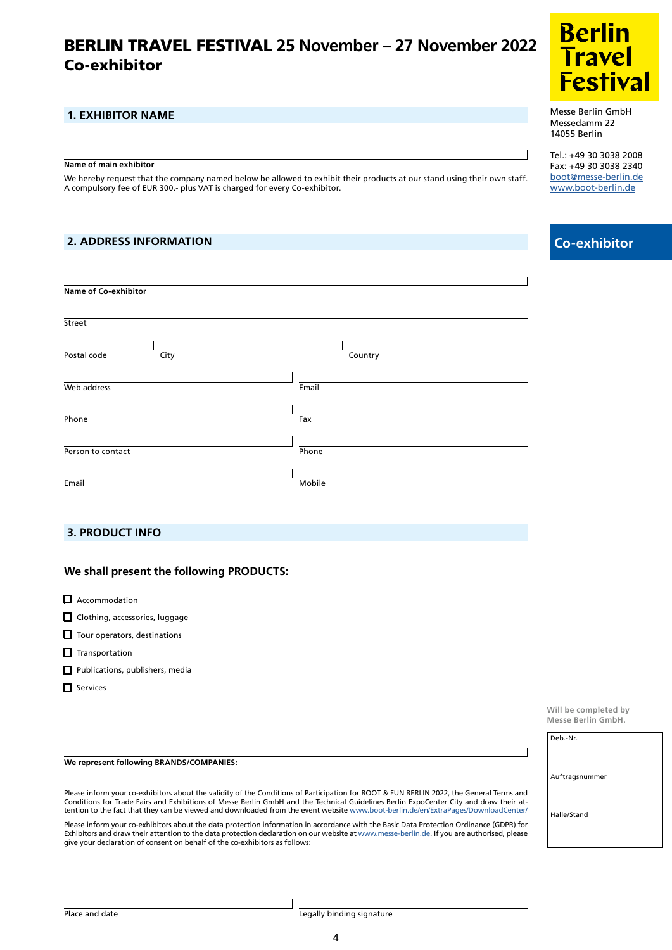# Co-exhibitor BERLIN TRAVEL FESTIVAL **25 November – 27 November 2022**

## **1. EXHIBITOR NAME**

#### **Name of main exhibitor**

We hereby request that the company named below be allowed to exhibit their products at our stand using their own staff. A compulsory fee of EUR 300.- plus VAT is charged for every Co-exhibitor.

## **2. ADDRESS INFORMATION**

| <b>Name of Co-exhibitor</b> |         |
|-----------------------------|---------|
| Street                      |         |
| Postal code<br>City         | Country |
| Web address                 | Email   |
| Phone                       | Fax     |
| Person to contact           | Phone   |
| Email                       | Mobile  |

### **PRODUCT INFORMATION CONSUMING INFORMATION**

### **We shall present the following PRODUCTS:**

- $\Box$  Accommodation
- Clothing, accessories, luggage
- Tour operators, destinations
- $\Box$  Transportation
- Publications, publishers, media
- $\Box$  Services

#### **We represent following BRANDS/COMPANIES:**

Please inform your co-exhibitors about the validity of the Conditions of Participation for BOOT & FUN BERLIN 2022, the General Terms and Conditions for Trade Fairs and Exhibitions of Messe Berlin GmbH and the Technical Guidelines Berlin ExpoCenter City and draw their attention to the fact that they can be viewed and downloaded from the event website [www.boot-berlin.de/en/ExtraPages/DownloadCenter/](http://www.boot-berlin.de/en/ExtraPages/DownloadCenter/ )

Please inform your co-exhibitors about the data protection information in accordance with the Basic Data Protection Ordinance (GDPR) for Exhibitors and draw their attention to the data protection declaration on our website at [www.messe-berlin.de](http://www.messe-berlin.de). If you are authorised, please give your declaration of consent on behalf of the co-exhibitors as follows:



Messe Berlin GmbH Messedamm 22 14055 Berlin

Tel.: +49 30 3038 2008 Fax: +49 30 3038 2340 [boot@messe-berlin.de](mailto:boot%40messe-berlin.de?subject=) [www.boot-berlin.de](http://www.boot-berlin.de)

# **Co-exhibitor**

**Will be completed by Messe Berlin GmbH.**

| Deb.-Nr.       |  |
|----------------|--|
| Auftragsnummer |  |
| Halle/Stand    |  |

4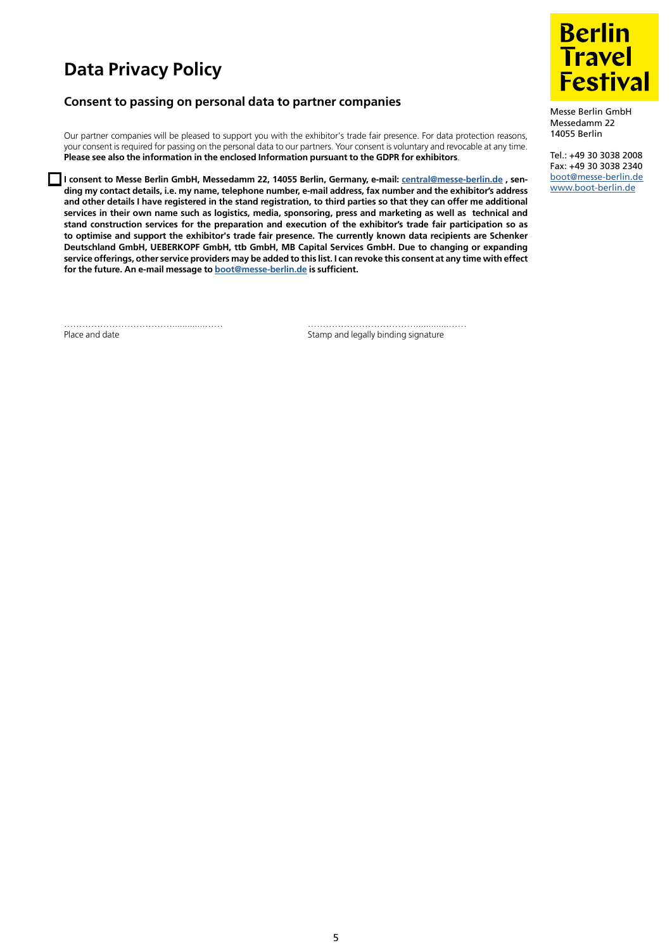# **Data Privacy Policy**

## **Consent to passing on personal data to partner companies**

Our partner companies will be pleased to support you with the exhibitor's trade fair presence. For data protection reasons, your consent is required for passing on the personal data to our partners. Your consent is voluntary and revocable at any time. **Please see also the information in the enclosed Information pursuant to the GDPR for exhibitors**.

**I consent to Messe Berlin GmbH, Messedamm 22, 14055 Berlin, Germany, e-mail: [central@messe-berlin.de](mailto:central%40messe-berlin.de?subject=) , sending my contact details, i.e. my name, telephone number, e-mail address, fax number and the exhibitor's address and other details I have registered in the stand registration, to third parties so that they can offer me additional services in their own name such as logistics, media, sponsoring, press and marketing as well as technical and stand construction services for the preparation and execution of the exhibitor's trade fair participation so as to optimise and support the exhibitor's trade fair presence. The currently known data recipients are Schenker Deutschland GmbH, UEBERKOPF GmbH, ttb GmbH, MB Capital Services GmbH. Due to changing or expanding service offerings, other service providers may be added to this list. I can revoke this consent at any time with effect for the future. An e-mail message to [boot@messe-berlin.de](mailto:boot%40messe-berlin.de?subject=) is sufficient.**

……………………………….............…… ……………………………….............……

Place and date **Stamp and legally binding signature** 



Messe Berlin GmbH Messedamm 22 14055 Berlin

Tel.: +49 30 3038 2008 Fax: +49 30 3038 2340 [boot@messe-berlin.de](mailto:boot%40messe-berlin.de?subject=) [www.boot-berlin.de](http://www.boot-berlin.de)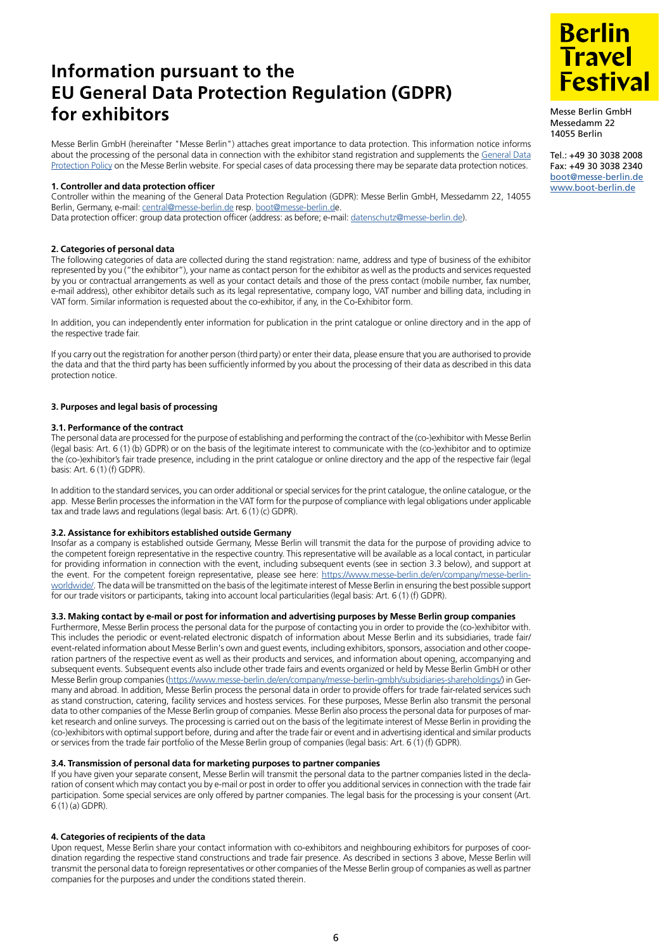# **Information pursuant to the EU General Data Protection Regulation (GDPR) for exhibitors**

Messe Berlin GmbH (hereinafter "Messe Berlin") attaches great importance to data protection. This information notice informs about the processing of the personal data in connection with the exhibitor stand registration and supplements the General Data [Protection Policy](https://www.messe-berlin.de/en/extra-pages/data-protection/) on the Messe Berlin website. For special cases of data processing there may be separate data protection notices.

### **1. Controller and data protection officer**

Controller within the meaning of the General Data Protection Regulation (GDPR): Messe Berlin GmbH, Messedamm 22, 14055 Berlin, Germany, e-mail: [central@messe-berlin.de](mailto:central%40messe-berlin.de?subject=) resp. [boot@messe-berlin.de](mailto:boot%40messe-berlin.d?subject=). Data protection officer: group data protection officer (address: as before; e-mail: [datenschutz@messe-berlin.de\)](mailto:datenschutz%40messe-berlin.de?subject=).

### **2. Categories of personal data**

The following categories of data are collected during the stand registration: name, address and type of business of the exhibitor represented by you ("the exhibitor"), your name as contact person for the exhibitor as well as the products and services requested by you or contractual arrangements as well as your contact details and those of the press contact (mobile number, fax number, e-mail address), other exhibitor details such as its legal representative, company logo, VAT number and billing data, including in VAT form. Similar information is requested about the co-exhibitor, if any, in the Co-Exhibitor form.

In addition, you can independently enter information for publication in the print catalogue or online directory and in the app of the respective trade fair.

If you carry out the registration for another person (third party) or enter their data, please ensure that you are authorised to provide the data and that the third party has been sufficiently informed by you about the processing of their data as described in this data protection notice.

### **3. Purposes and legal basis of processing**

### **3.1. Performance of the contract**

The personal data are processed for the purpose of establishing and performing the contract of the (co-)exhibitor with Messe Berlin (legal basis: Art. 6 (1) (b) GDPR) or on the basis of the legitimate interest to communicate with the (co-)exhibitor and to optimize the (co-)exhibitor's fair trade presence, including in the print catalogue or online directory and the app of the respective fair (legal basis: Art. 6 (1) (f) GDPR).

In addition to the standard services, you can order additional or special services for the print catalogue, the online catalogue, or the app. Messe Berlin processes the information in the VAT form for the purpose of compliance with legal obligations under applicable tax and trade laws and regulations (legal basis: Art. 6 (1) (c) GDPR).

### **3.2. Assistance for exhibitors established outside Germany**

Insofar as a company is established outside Germany, Messe Berlin will transmit the data for the purpose of providing advice to the competent foreign representative in the respective country. This representative will be available as a local contact, in particular for providing information in connection with the event, including subsequent events (see in section 3.3 below), and support at the event. For the competent foreign representative, please see here: [https://www.messe-berlin.de/en/company/messe-berlin](https://www.messe-berlin.de/en/company/messe-berlin-worldwide/)[worldwide/.](https://www.messe-berlin.de/en/company/messe-berlin-worldwide/) The data will be transmitted on the basis of the legitimate interest of Messe Berlin in ensuring the best possible support for our trade visitors or participants, taking into account local particularities (legal basis: Art. 6 (1) (f) GDPR).

#### **3.3. Making contact by e-mail or post for information and advertising purposes by Messe Berlin group companies**

Furthermore, Messe Berlin process the personal data for the purpose of contacting you in order to provide the (co-)exhibitor with. This includes the periodic or event-related electronic dispatch of information about Messe Berlin and its subsidiaries, trade fair/ event-related information about Messe Berlin's own and guest events, including exhibitors, sponsors, association and other cooperation partners of the respective event as well as their products and services, and information about opening, accompanying and subsequent events. Subsequent events also include other trade fairs and events organized or held by Messe Berlin GmbH or other Messe Berlin group companies [\(https://www.messe-berlin.de/en/company/messe-berlin-gmbh/subsidiaries-shareholdings/\)](https://www.messe-berlin.de/en/company/messe-berlin-gmbh/subsidiaries-shareholdings/) in Germany and abroad. In addition, Messe Berlin process the personal data in order to provide offers for trade fair-related services such as stand construction, catering, facility services and hostess services. For these purposes, Messe Berlin also transmit the personal data to other companies of the Messe Berlin group of companies. Messe Berlin also process the personal data for purposes of market research and online surveys. The processing is carried out on the basis of the legitimate interest of Messe Berlin in providing the (co-)exhibitors with optimal support before, during and after the trade fair or event and in advertising identical and similar products or services from the trade fair portfolio of the Messe Berlin group of companies (legal basis: Art. 6 (1) (f) GDPR).

### **3.4. Transmission of personal data for marketing purposes to partner companies**

If you have given your separate consent, Messe Berlin will transmit the personal data to the partner companies listed in the declaration of consent which may contact you by e-mail or post in order to offer you additional services in connection with the trade fair participation. Some special services are only offered by partner companies. The legal basis for the processing is your consent (Art. 6 (1) (a) GDPR).

### **4. Categories of recipients of the data**

Upon request, Messe Berlin share your contact information with co-exhibitors and neighbouring exhibitors for purposes of coordination regarding the respective stand constructions and trade fair presence. As described in sections 3 above, Messe Berlin will transmit the personal data to foreign representatives or other companies of the Messe Berlin group of companies as well as partner companies for the purposes and under the conditions stated therein.



Messe Berlin GmbH Messedamm 22 14055 Berlin

Tel.: +49 30 3038 2008 Fax: +49 30 3038 2340 [boot@messe-berlin.de](mailto:boot%40messe-berlin.de?subject=) [www.boot-berlin.de](http://www.boot-berlin.de)